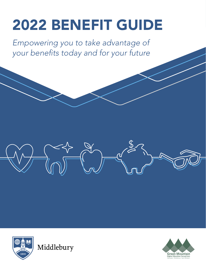# 2022 BENEFIT GUIDE

*Empowering you to take advantage of your benefits today and for your future*





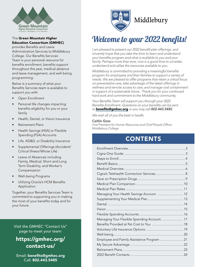

#### The Green Mountain Higher Education Consortium (GMHEC)

provides Benefits and Leave Administration Services to Middlebury College. Our Benefits Services Team is your personal resource for benefits enrollment, benefits support throughout the year, medical absence and leave management, and well-being programming.

Below is a summary of what your Benefits Services team is available to support you with:

- Open Enrollment
- Personal life changes impacting benefits eligibility for you or your family
- Health, Dental, or Vision Insurance
- Retirement Plans
- Health Savings (HSA) or Flexible Spending (FSA) Accounts
- Life, AD&D, or Disability Insurance
- Supplemental Offerings (Accident/ Critical Illness/Whole Life)
- Leave of Absences including Family, Medical, Short and Long Term Disability, and Worker's Compensation
- Well-being Programs
- Utilizing Oracle's HCM Benefits Application

Together, your Benefits Services Team is committed to supporting you in making the most of your benefits today and for your future.

Visit the GMHEC "Contact Us" page to meet your team:

### [https://gmhec.org/](https://gmhec.org/contact-us/) [contact-us/](https://gmhec.org/contact-us/)

Email: [benefits@gmhec.org](mailto:benefits@gmhec.org) Call: 802.443.5485



## Welcome to your 2022 benefits!

*I am pleased to present our 2022 benefit plan offerings, and sincerely hope that you take the time to learn and understand your benefits program and what is available to you and your*  family. Perhaps more than ever, now is a good time to consider, *understand and utilize the resources available to you.*

*Middlebury is committed to providing a meaningful benefits program for employees and their families to support a variety of needs. We are pleased to offer programs that retain a critical focus on preventative care, take advantage of the latest offerings in wellness and remote access to care, and manage cost containment in support of a sustainable future. Thank you for your continued hard work and commitment to the Middlebury community.*

*Your Benefits Team will support you through your 2022 Benefits Enrollment. Questions on your benefits can be sent to* [benefits@gmhec.org](mailto:benefits@gmhec.org) *or you may call 802.443.5485.*

*We wish all of you the best in health,*

#### Caitlin Goss

*Vice President for Human Resources and Chief People Officer Middlebury College*

### **CONTENTS**

| Cigna's Telehealth Connection Services 8   |  |
|--------------------------------------------|--|
|                                            |  |
|                                            |  |
|                                            |  |
| Managing Your Health Savings Account  12   |  |
|                                            |  |
|                                            |  |
|                                            |  |
|                                            |  |
| Managing Your Flexible Spending Account 17 |  |
|                                            |  |
|                                            |  |
|                                            |  |
| Employee and Family Assistance Program  21 |  |
|                                            |  |
|                                            |  |
|                                            |  |
|                                            |  |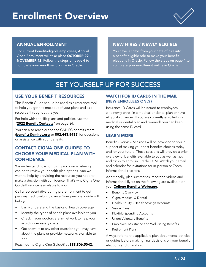

#### <span id="page-2-0"></span>ANNUAL ENROLLMENT

For current benefit-eligible employees, Annual Open Enrollment will take place OCTOBER 29 – NOVEMBER 12. Follow the steps on page 4 to complete your enrollment online in Oracle.

#### NEW HIRES / NEWLY ELIGIBLE

You have 30 days from your date of hire into a benefit eligible role to make your benefit elections in Oracle. Follow the steps on page 4 to complete your enrollment online in Oracle.

## SET YOURSELF UP FOR SUCCESS

#### USE YOUR BENEFIT RESOURCES

This Benefit Guide should be used as a reference tool to help you get the most out of your plans and as a resource throughout the year.

For help with specific plans and policies, use the "[2022 Benefit Contacts](#page-23-1)" on page 24.

You can also reach out to the GMHEC benefits team (benefits@gmhec.org or 802.443.5485) for questions or assistance with your benefits.

#### CONTACT CIGNA ONE GUIDE® TO CHOOSE YOUR MEDICAL PLAN WITH **CONFIDENCE**

We understand how confusing and overwhelming it can be to review your health plan options. And we want to help by providing the resources you need to make a decision with confidence. That's why Cigna One Guide® service is available to you.

Call a representative during pre-enrollment to get personalized, useful guidance. Your personal guide will help you:

- Easily understand the basics of health coverage
- Identify the types of health plans available to you
- Check if your doctors are in-network to help you avoid unnecessary costs
- Get answers to any other questions you may have about the plans or provider networks available to you

Reach out to Cigna One Guide® at 888.806.5042.

#### WATCH FOR ID CARDS IN THE MAIL (NEW ENROLLEES ONLY)

Insurance ID Cards will be issued to employees who newly enroll in a medical or dental plan or have eligibility changes. If you are currently enrolled in a medical or dental plan and re-enroll, you can keep using the same ID card.

#### LEARN MORE

Benefit Overview Sessions will be provided to you in support of making your best benefits choices today and for your future. These sessions will provide a brief overview of benefits available to you as well as tips and tricks to enroll in Oracle HCM. Watch your email and calendar for invitations for in-person or Zoom informational sessions.

Additionally, plan summaries, recorded videos and informational flyers on the following are available on your [College Benefits Webpage](https://www.middlebury.edu/office/human-resources/2022-Benefits):

- Benefits Overview
- Cigna Medical & Dental
- Health Equity Health Savings Accounts
- Vision Plans
- Flexible Spending Accounts
- Unum Voluntary Benefits
- Employee Assistance and Well-Being Benefits
- Retirement Plans

Always refer to the applicable plan documents, policies or guides before making final decisions on your benefit elections and utilization.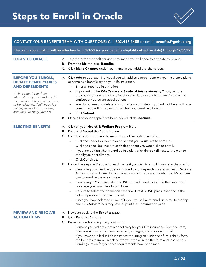## <span id="page-3-0"></span>Steps to Enroll in Oracle



#### CONTACT YOUR BENEFITS TEAM WITH QUESTIONS: Call 802.443.5485 or email [benefits@gmhec.org](mailto:benefits@gmhec.org)

The plans you enroll in will be effective from 1/1/22 (or your benefits eligibility effective date) through 12/31/22.

| <b>LOGIN TO ORACLE</b>                                                                                                                                                                                                                                                                      | А.<br>В. | To get started with self-service enrollment, you will need to navigate to Oracle.<br>From the Me tab, click Benefits.<br>C. Click Make Changes under your name in the middle of the screen.                                                                                                                                                                                                                                                                                                                                                                                                                                                                                                                                                                                                                                                                                                                                                                                                                                                                                                                                                                                                                                       |
|---------------------------------------------------------------------------------------------------------------------------------------------------------------------------------------------------------------------------------------------------------------------------------------------|----------|-----------------------------------------------------------------------------------------------------------------------------------------------------------------------------------------------------------------------------------------------------------------------------------------------------------------------------------------------------------------------------------------------------------------------------------------------------------------------------------------------------------------------------------------------------------------------------------------------------------------------------------------------------------------------------------------------------------------------------------------------------------------------------------------------------------------------------------------------------------------------------------------------------------------------------------------------------------------------------------------------------------------------------------------------------------------------------------------------------------------------------------------------------------------------------------------------------------------------------------|
| <b>BEFORE YOU ENROLL,</b><br><b>UPDATE BENEFICIARIES</b><br><b>AND DEPENDENTS</b><br>Collect your dependents'<br>information if you intend to add<br>them to your plans or name them<br>as beneficiaries. You'll need full<br>names, dates of birth, gender,<br>and Social Security Number. | В.       | A. Click Add to add each individual you will add as a dependent on your insurance plans<br>or name as a beneficiary on your life insurance.<br>Enter all required information.<br>Important: In the What's the start date of this relationship? box, be sure<br>the date is prior to your benefits effective date or your hire date. Birthdays or<br>anniversary dates are good options.<br>You do not need to delete any contacts on this step. If you will not be enrolling a<br>contact, you will not select them when you enroll in a benefit.<br>Click Submit.<br>Once all of your people have been added, click Continue.                                                                                                                                                                                                                                                                                                                                                                                                                                                                                                                                                                                                   |
| <b>ELECTING BENEFITS</b>                                                                                                                                                                                                                                                                    | В.       | A. Click on your Health & Welfare Program icon.<br>Read and <b>Accept</b> the Authorization.<br>C. Click the <b>Edit</b> button next to each group of benefits to enroll in.<br>Click the check box next to each benefit you would like to enroll in.<br>Click the check box next to each dependent you would like to enroll.<br>If you are editing who is enrolled in a plan, click the <b>pencil</b> next to the plan to<br>$\overline{\phantom{m}}$<br>modify your enrollment.<br>Click Continue.<br>D. Follow the steps in C above for each benefit you wish to enroll in or make changes to.<br>If enrolling in a Flexible Spending (medical or dependent care) or Health Savings<br>Account, you will need to include annual contribution amounts. The IRS requires<br>you to enroll in these each year.<br>If enrolling in Voluntary Life or AD&D, you will need to include the amount of<br>coverage you would like to purchase.<br>Be sure to select your beneficiaries for all Life & AD&D plans, even those the<br>college provides to you at no cost.<br>Once you have selected all benefits you would like to enroll in, scroll to the top<br>and click <b>Submit</b> . You may save or print the Confirmation page. |
| <b>REVIEW AND RESOLVE</b><br><b>ACTION ITEMS</b>                                                                                                                                                                                                                                            | А.<br>Β. | Navigate back to the <b>Benefits</b> page.<br><b>Click Pending Actions</b><br>C. Review any actions requiring resolution.<br>Perhaps you did not elect a beneficiary for your Life insurance. Click the item,<br>review your elections, make necessary changes, and click on Submit.<br>If you have enrolled in Life Insurance requiring an Evidence of Insurability form,<br>the benefits team will reach out to you with a link to the form and resolve this<br>Pending Action for you once requirements have been met.                                                                                                                                                                                                                                                                                                                                                                                                                                                                                                                                                                                                                                                                                                         |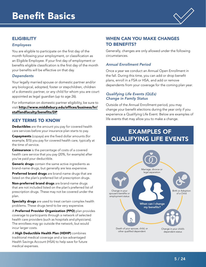

#### <span id="page-4-0"></span>**ELIGIBILITY**

#### *Employees*

You are eligible to participate on the first day of the month following your employment, or classification as an Eligible Employee. If your first day of employment or benefits eligible classification is the first day of the month your benefits will be effective on that day.

#### *Dependents*

Your legally married spouse or domestic partner and/or any biological, adopted, foster or stepchildren, children of a domestic partner, or any child for whom you are court appointed as legal guardian (up to age 26).

For information on domestic partner eligibility, be sure to visit [http://www.middlebury.edu/offices/business/hr/](http://www.middlebury.edu/offices/business/hr/staffandfaculty/benefits/DP) [staffandfaculty/benefits/DP](http://www.middlebury.edu/offices/business/hr/staffandfaculty/benefits/DP).

#### KEY TERMS TO KNOW

Deductibles are the amount you pay for covered health care services before your insurance plan starts to pay.

Copayments (copays) are the fixed dollar amounts (for example, \$15) you pay for covered health care, typically at the time of service.

Coinsurance is the percentage of costs of a covered health care service that you pay (20%, for example) after you've paid your deductible.

Generic drugs contain the same active ingredients as brand-name drugs, but generally are less expensive.

Preferred brand drugs are brand-name drugs that are listed on the plan's preferred list of prescription drugs.

Non-preferred brand drugs are brand-name drugs that are not included listed on the plan's preferred list of prescription drugs. These may not be covered under the plan.

Specialty drugs are used to treat certain complex health problems. These drugs tend to be very expensive.

A Preferred Provider Organization (PPO) plan provides coverage to participants through a network of selected health care providers (such as hospitals and physicians). The enrollees may go outside the network, but would incur larger costs.

A High Deductible Health Plan (HDHP) combines traditional medical coverage and a tax-advantaged Health Savings Account (HSA) to help save for future medical expenses.

#### WHEN CAN YOU MAKE CHANGES TO BENEFITS?

Generally, changes are only allowed under the following circumstances.

#### *Annual Enrollment Period*

Once a year we conduct an Annual Open Enrollment in the fall. During this time, you can add or drop benefit plans, enroll in a FSA or HSA, and add or remove dependents from your coverage for the coming plan year.

#### *Qualifying Life Events (QLEs) Change in Family Status*

Outside of the Annual Enrollment period, you may change your benefit elections during the year only if you experience a Qualifying Life Event. Below are examples of life events that may allow you to make a change.

### EXAMPLES OF QUALIFYING LIFE EVENTS

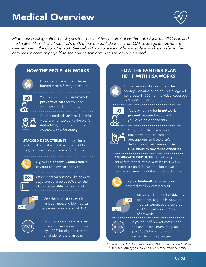

<span id="page-5-0"></span>*Middlebury College offers employees the choice of two medical plans through Cigna: the PPO Plan and the Panther Plan – HDHP with HSA. Both of our medical plans include 100% coverage for preventive care services in the Cigna Network. See below for an overview of how the plans work and refer to the comparison chart on page 10 to see how certain common services are covered.*

#### HOW THE PPO PLAN WORKS HOW THE PANTHER PLAN



Does not come with a collegefunded Health Savings Account.



You pay nothing for **in-network** preventive care for you and your covered dependents.



Certain medical services (like office visits) are not subject to the plan's deductible, and prescriptions are covered with a flat copay. The state of the state of the state of the You pay 100% for your non-

**STACKED DEDUCTIBLE:** Plan pays for an individual once the individual deductible is met, even on a two-person or family plan.



Cigna's Telehealth Connection is covered at a low cost per visit.



Other medical services (like hospital stays) are covered at 80% after the plan's **deductible** has been met.



After the plan's deductible has been met, eligible medical expenses are covered at 80%.



If your out-of-pocket costs reach the annual maximum, the plan pays 100% for eligible care the remainder of the plan year.

## HDHP WITH HSA WORKS



Comes with a college-funded Health Savings Account. Middlebury College will contribute \$1,000\* for individual coverage or \$2,000\* for all other tiers.



You pay nothing for **in-network** preventive care for you and your covered dependents. 



preventive medical care and prescriptions until the plan's deductible is met. *You can use HSA funds to pay these expenses.*

AGGREGATE DEDUCTIBLE: Full single or entire family deductible must be met before benefits are paid. Those enrolled in twoperson plan must meet the family deductible.



Cigna's Telehealth Connection is covered at a low cost per visit.



After the plan's **deductible** has been met, eligible in-network medical expenses are covered at 80% in network or 70% out of network.



If your out-of-pocket costs reach the annual maximum, the plan pays 100% for eligible care the remainder of the plan year.

*\* The standard HSA contribution is 50% of the plan deductible: \$1,000 for Employee Only and \$2,000 for 2-Person/Family.*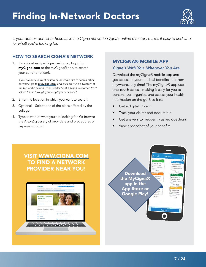

*Is your doctor, dentist or hospital in the Cigna network? Cigna's online directory makes it easy to find who (or what) you're looking for.*

#### HOW TO SEARCH CIGNA'S NETWORK

1. If you're already a Cigna customer, log in to [myCigna.com](http://myCigna.com) or the myCigna® app to search your current network.

*If you are not a current customer, or would like to search other networks, go to* myC[igna.com](http://cigna.com)*, and click on "Find a Doctor" at the top of the screen. Then, under "Not a Cigna Customer Yet?" select "Plans through your employer or school."*

- 2. Enter the location in which you want to search.
- 3. Optional Select one of the plans offered by the college.
- 4. Type in who or what you are looking for. Or browse the A-to-Z glossary of providers and procedures or keywords option.

#### MYCIGNA® MOBILE APP

#### *Cigna's With You, Wherever You Are*

Download the myCigna® mobile app and get access to your medical benefits info from anywhere...any time! The myCigna® app uses one-touch access, making it easy for you to personalize, organize, and access your health information on the go. Use it to:

- Get a digital ID card
- Track your claims and deductible
- Get answers to frequently asked questions
- View a snapshot of your benefits

### VISIT [WWW.CIGNA.COM](http://www.cigna.com) TO FIND A NETWORK PROVIDER NEAR YOU!



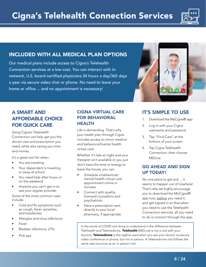

#### <span id="page-7-0"></span>INCLUDED WITH ALL MEDICAL PLAN OPTIONS

Our medical plans include access to Cigna's Telehealth Connection services at a low cost. You can interact with innetwork, U.S. board certified physicians 24 hours a day/365 days a year via secure video chat or phone. No need to leave your home or office ... and no appointment is necessary!



### A SMART AND AFFORDABLE CHOICE FOR QUICK CARE

Using Cigna's Telehealth Connection can help get you the doctor visit and prescription you need, while also saving you time and money.

It's a great tool for when:

- You are traveling
- Your dependent is traveling or away at school
- You need help after hours or on the weekend
- Anytime you can't get in to see your regular provider

Some of the most common uses include:

- Cold and flu symptoms such as cough, fever, earaches, and headaches
- Allergies and sinus infections
- Fever
- Bladder infections, UTIs
- Pink eye

#### CIGNA VIRTUAL CARE FOR BEHAVIORAL HEALTH

Life is demanding. That's why your health plan through Cigna includes access to minor medical and behavioral/mental health virtual care.

Whether it's late at night and your therapist isn't available or you just don't have the time or energy to leave the house, you can:

- Schedule a behavioral/ mental health virtual care appointment online in minutes
- Connect with quality, licensed counselors and psychiatrists
- Have a prescription sent directly to your local pharmacy, if appropriate

#### IT'S SIMPLE TO USE

- 1. Download the MyCigna® app
- 2. Log in with your Cigna username and password
- 3. Tap "Find Care" at the bottom of your screen
- 4. Tap Cigna Telehealth Connection, then choose MDLive

#### GO AHEAD AND SIGN UP TODAY!

No one plans to get sick ... it seems to happen out of nowhere! That's why we highly encourage you to download the MyCigna® app now, before you need it, and get signed in so that when you need to use the Telehealth Connection services, all you need to do is connect through the app.

In the world of COVID one thing to understand is the difference between Telehealth and Telemedicine. Telehealth (MDLive) is not a visit with your doctors. Telemedicine is the tagline used when you see your doctor via secure video conference or phone, but not in person. A Telemedicine visit follows the same rate structure as an in-person visit.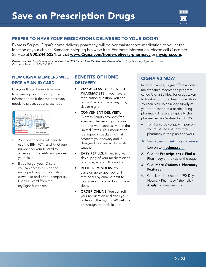

#### <span id="page-8-0"></span>PREFER TO HAVE YOUR MEDICATIONS DELIVERED TO YOUR DOOR?

Express Scripts, Cigna's home delivery pharmacy, will deliver maintenance medication to you at the location of your choice. Standard Shipping is always free. For more information, please call Customer Service at 800.244.6224, or visit [www.Cigna.com/home-delivery-pharmacy](http://www.Cigna.com/home-delivery-pharmacy) or [mycigna.com](http://mycigna.com).

*Please note: the drug list may vary between the PPO Plan and the Panther Plan. Please refer to drug list on [mycigna.com](http://mycigna.com) or call Customer Service at 800.244.6224.*

#### NEW CIGNA MEMBERS WILL RECEIVE AN ID CARD

Use your ID card every time you fill a prescription. It has important information on it that the pharmacy needs to process your prescription.

| Tipyed Asmerfits<br>4400/02<br><b>Hana</b> com<br><b>Competibility</b><br>Group: 1234567<br>D: Member Num<br>Name: Member Name Long<br>PCP: PCP Name<br>PCP Name Ln2<br>PCF Phone PCP Phone<br><b>ABC Company</b><br>Hughy Associated Rubon XXXXXXX<br>billesip 1284567 | <b>Closen Annelia Villa</b><br><b>No Hallened Racyster</b><br>PCP Visit Tite 1\$15/20<br>Specialist Tier 1615/25<br><b>Hospital Elli</b><br>528<br><b>Urgent Care</b><br><b>Visitory</b><br><b>You</b><br>\$10/20%/40%<br>Par 1<br>Rx Individual Deduction<br>Cleck achieved Associa- |
|-------------------------------------------------------------------------------------------------------------------------------------------------------------------------------------------------------------------------------------------------------------------------|---------------------------------------------------------------------------------------------------------------------------------------------------------------------------------------------------------------------------------------------------------------------------------------|
|-------------------------------------------------------------------------------------------------------------------------------------------------------------------------------------------------------------------------------------------------------------------------|---------------------------------------------------------------------------------------------------------------------------------------------------------------------------------------------------------------------------------------------------------------------------------------|

- Your pharmacists will need to use the BIN, PCN, and Rx Group number on your ID card to access your benefits and process your claim.
- If you forget your ID card, you can access it using the myCigna® app. You can also download and print a temporary Cigna ID card from the myCigna® website.

#### BENEFITS OF HOME **DELIVERY**

- 24/7 ACCESS TO LICENSED PHARMACISTS. If you have a medication question, you can talk with a pharmacist anytime, day or night.
- CONVENIENT DELIVERY. Express Scripts provides free standard delivery right to your home or work address within the United States. Your medication is shipped in packaging that protects your privacy and is designed to stand up to harsh weather.
- EASY REFILLS. Fill up to a 90 day supply of your medication at one time, so you fill less often.
- **REFILL REMINDERS. You** can sign up to get free refill reminders by email or text to help make sure you don't miss a dose.
- ORDER ONLINE. You can refill your medication and track your orders on the myCigna® website or through the mobile app.

#### CIGNA 90 NOW

In certain areas, Cigna offers another maintenance medication program called Cigna 90 Now for drugs taken to treat an ongoing health condition. You can pick up a 90-day supply of your medication at a participating pharmacy. These are typically chain pharmacies like Walmart and CVS.

To fill a 90-day supply in person, you must use a 90-day retail pharmacy in the plan's network.

#### *To find a participating pharmacy:*

- 1. Log on to **[mycigna.com.](http://mycigna.com)**
- 2. Click on Prescriptions > Find a Pharmacy at the top of the page.
- 3. Click More Options > Pharmacy Features
- 4. Check the box next to "90-Day Network Pharmacy," then click Apply to review results.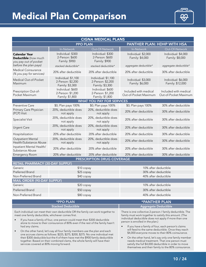## <span id="page-9-0"></span>Medical Plan Comparison



| <b>CIGNA MEDICAL PLANS</b>                                            |                                                             |                                                             |                                                |                                                |  |
|-----------------------------------------------------------------------|-------------------------------------------------------------|-------------------------------------------------------------|------------------------------------------------|------------------------------------------------|--|
|                                                                       | <b>PPO PLAN</b>                                             |                                                             | PANTHER PLAN: HDHP WITH HSA                    |                                                |  |
|                                                                       | In-Network                                                  | Out-Of-Network                                              | In-Network                                     | Out-Of-Network                                 |  |
| <b>Calendar Year</b><br>Deductible (how much<br>you pay out of pocket | Individual: \$300<br>2-Person: \$600<br>Family: \$900       | Individual: \$300<br>2-Person: \$600<br>Family: \$900       | Individual: \$2,000<br>Family: \$4,000         | Individual: \$4,000<br>Family: \$8,000         |  |
| before the plan pays)<br>Medical Coinsurance                          | stacked deductible*                                         | stacked deductible*                                         | aggregate deductible*                          | aggregate deductible*                          |  |
| (% you pay for services)                                              | 20% after deductible                                        | 20% after deductible                                        | 20% after deductible                           | 30% after deductible                           |  |
| Medical Out-of-Pocket<br>Maximum                                      | Individual: \$1,100<br>2-Person: \$2,200<br>Family: \$3,300 | Individual: \$1,100<br>2-Person: \$2,200<br>Family: \$3,300 | Individual: \$3,000<br>Family: \$6,000         | Individual: \$6,000<br>Family: \$12,000        |  |
| Prescription Out-of-<br>Pocket Maximum                                | Individual: \$600<br>2-Person: \$1,200<br>Family: \$1,800   | Individual: \$600<br>2-Person: \$1,200<br>Family: \$1,800   | Included with medical<br>Out-of-Pocket Maximum | Included with medical<br>Out-of-Pocket Maximum |  |
|                                                                       |                                                             | <b>WHAT YOU PAY FOR SERVICES</b>                            |                                                |                                                |  |
| <b>Preventive Care</b>                                                | \$0; Plan pays 100%                                         | \$0; Plan pays 100%                                         | \$0; Plan pays 100%                            | 30% after deductible                           |  |
| Primary Care Physician<br>(PCP) Visit                                 | 20%, deductible does<br>not apply                           | 20%, deductible does<br>not apply                           | 20% after deductible                           | 30% after deductible                           |  |
| Specialist Visit                                                      | 20%, deductible does<br>not apply                           | 20%, deductible does<br>not apply                           | 20% after deductible                           | 30% after deductible                           |  |
| <b>Urgent Care</b>                                                    | 20%, deductible does<br>not apply                           | 20%, deductible does<br>not apply                           | 20% after deductible                           | 30% after deductible                           |  |
| Hospitalization                                                       | 20% after deductible                                        | 20% after deductible                                        | 20% after deductible                           | 30% after deductible                           |  |
| <b>Outpatient Mental</b><br>Health/Substance Abuse                    | 20%, deductible does<br>not apply                           | 20%, deductible does<br>not apply                           | 20% after deductible                           | 30% after deductible                           |  |
| Inpatient Mental Health/<br>Substance Abuse                           | 20% after deductible                                        | 20% after deductible                                        | 20% after deductible                           | 30% after deductible                           |  |
| <b>Emergency Room</b>                                                 | 20% after deductible                                        | 20% after deductible                                        | 20% after deductible                           | 30% after deductible                           |  |
|                                                                       |                                                             | <b>PRESCRIPTION DRUG COVERAGE</b>                           |                                                |                                                |  |
| <b>RETAIL PHARMACY (30-DAY SUPPLY)</b>                                |                                                             |                                                             |                                                |                                                |  |
| Generic                                                               | \$10 copay                                                  |                                                             | 10% after deductible                           |                                                |  |
| <b>Preferred Brand</b>                                                | \$25 copay                                                  |                                                             | 30% after deductible                           |                                                |  |
| Non-Preferred Brand                                                   | \$40 copay                                                  |                                                             | 40% after deductible                           |                                                |  |
| <b>MAIL ORDER (90-DAY SUPPLY)</b><br>Generic                          |                                                             |                                                             |                                                |                                                |  |
|                                                                       | \$20 copay                                                  |                                                             | 10% after deductible                           |                                                |  |
| Preferred Brand                                                       | \$50 copay                                                  |                                                             | 30% after deductible                           |                                                |  |
| Non-Preferred Brand                                                   | \$80 copay                                                  |                                                             | 40% after deductible                           |                                                |  |

| <b>*PPO PLAN</b>          | A *PANTHER PLAN!            |
|---------------------------|-----------------------------|
| <b>Stacked Deductible</b> | <b>Aggregate Deductible</b> |
|                           |                             |

Each individual can meet their own deductible OR the family can work together to meet one family deductible, whichever comes first.

- If you have a family of four, one person could meet their \$300 deductible alone to move to their coinsurance of 80% even if the rest of the family hasn't had any claims.
- On the other hand, let's say all four family members use the plan and each one accrues claims as follows: \$225, \$275, \$200, \$275. No one individual met their \$300 deducible but the 4 of them have met the \$900 family deductible together. Based on their combined clams, the whole family will have their services covered at 80% moving forward.

There is one collective 2-person / family deductible. The family must work together to satisfy this amount. (The individual deductible does not apply if more than one person is enrolled in the plan.)

- If you have a family of four, each person's claims will feed to the same deductible. Once they reach \$4,000 everyone moves to their 80% coinsurance.
- On the other hand, let's say only one family member needs medical treatment. That one person must satisfy the full \$4,000 deductible in order to move themselves and their family to the 80% coinsurance.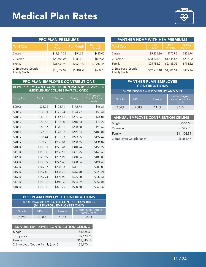<span id="page-10-0"></span>

| <b>PPO PLAN PREMIUMS</b>           |                   |            |            |  |
|------------------------------------|-------------------|------------|------------|--|
| <b>Total Cost</b>                  | Per Pay<br>Period |            |            |  |
| Single                             | \$11,311.36       | \$942.61   | \$435.05   |  |
| 2-Person                           | \$22,608.07       | \$1,884.01 | \$869.54   |  |
| Family                             | \$31,653.92       | \$2,637.83 | \$1,217.46 |  |
| 2-Employee Couple<br>Family (each) | \$15,827.09       | \$1,318.92 | \$608.73   |  |

| <b>PANTHER HDHP WITH HSA PREMIUMS</b> |             |                     |                          |  |
|---------------------------------------|-------------|---------------------|--------------------------|--|
| <b>Total Cost</b>                     | Per<br>Year | Per<br><b>Month</b> | <b>Per Pay</b><br>Period |  |
| Single                                | \$9,275.36  | \$772.95            | \$356.74                 |  |
| 2-Person                              | \$18,538.47 | \$1,544.87          | \$713.02                 |  |
| Family                                | \$25,956.21 | \$2,163.02          | \$998.32                 |  |
| 2-Employee Couple<br>Family (each)    | \$12.978.10 | \$1,081.51          | \$499.16                 |  |

| <b>PANTHER PLAN EMPLOYEE</b><br><b>CONTRIBUTIONS</b> |          |        |                                      |  |
|------------------------------------------------------|----------|--------|--------------------------------------|--|
| % OF INCOME - MIDDLEBURY AND MIIS                    |          |        |                                      |  |
| Single                                               | 2-Person | Family | 2-Employee<br>Couple Family<br>each) |  |
| 2.54%                                                | 5.08%    | 7.11%  | 3.55%                                |  |

| <b>ANNUAL EMPLOYEE CONTRIBUTION CEILING</b> |             |
|---------------------------------------------|-------------|
| Single                                      | \$3,967.60  |
| 2-Person                                    | \$7,929.95  |
| Family                                      | \$11,102.94 |
| 2 Employee Couple (each)                    | \$5,551.47  |

| PPO PLAN EMPLOYEE CONTRIBUTIONS                                                                  |          |          |          |                                              |  |
|--------------------------------------------------------------------------------------------------|----------|----------|----------|----------------------------------------------|--|
| <b>BI-WEEKLY EMPLOYEE CONTRIBUTION RATES BY SALARY TIER</b><br>(MIDDLEBURY COLLEGE PAYROLL ONLY) |          |          |          |                                              |  |
| <b>Salary Tier</b>                                                                               | Single   | 2-Person | Family   | 2-Employee<br><b>Couple Family</b><br>(each) |  |
| \$20Ks                                                                                           | \$25.72  | \$123.71 | \$172.74 | \$46.81                                      |  |
| \$30Ks                                                                                           | \$36.01  | \$125.94 | \$174.97 | \$50.41                                      |  |
| \$40Ks                                                                                           | \$46.30  | \$147.11 | \$205.06 | \$64.81                                      |  |
| \$50Ks                                                                                           | \$56.58  | \$153.80 | \$210.63 | \$79.22                                      |  |
| \$60Ks                                                                                           | \$66.87  | \$170.51 | \$238.50 | \$93.62                                      |  |
| \$70Ks                                                                                           | \$77.15  | \$178.32 | \$249.64 | \$108.01                                     |  |
| \$80Ks                                                                                           | \$87.44  | \$195.03 | \$273.05 | \$122.42                                     |  |
| \$90Ks                                                                                           | \$97.73  | \$206.18 | \$288.65 | \$136.82                                     |  |
| \$100Ks                                                                                          | \$108.01 | \$221.78 | \$310.94 | \$151.22                                     |  |
| \$110Ks                                                                                          | \$118.30 | \$236.61 | \$331.25 | \$165.63                                     |  |
| \$120Ks                                                                                          | \$128.59 | \$257.19 | \$360.06 | \$180.03                                     |  |
| \$130Ks                                                                                          | \$138.89 | \$277.76 | \$388.86 | \$194.43                                     |  |
| \$140Ks                                                                                          | \$149.17 | \$298.33 | \$417.67 | \$208.83                                     |  |
| \$150Ks                                                                                          | \$159.46 | \$318.91 | \$446.48 | \$223.24                                     |  |
| \$160Ks                                                                                          | \$169.74 | \$339.49 | \$475.28 | \$237.64                                     |  |
| \$170Ks                                                                                          | \$180.03 | \$360.06 | \$504.09 | \$252.04                                     |  |
| \$180Ks                                                                                          | \$186.10 | \$371.95 | \$520.78 | \$260.39                                     |  |

| <b>PPO PLAN EMPLOYEE CONTRIBUTIONS</b>                                   |          |        |                   |  |
|--------------------------------------------------------------------------|----------|--------|-------------------|--|
| % OF INCOME EMPLOYEE CONTRIBUTION RATES<br>(MIIS PAYROLL EMPLOYEES ONLY) |          |        |                   |  |
| Single                                                                   | 2-Person | Family | 2-Employee Couple |  |
| 2.79%                                                                    | 5.58%    | 7.82%  | 3.91%             |  |

| <b>ANNUAL EMPLOYEE CONTRIBUTION CEILING</b> |             |
|---------------------------------------------|-------------|
| Single                                      | \$4,838.51  |
| Two person                                  | \$9,670.75  |
| Family                                      | \$13,540.18 |
| 2-Employee Couple Family (each)             | \$6,770.14  |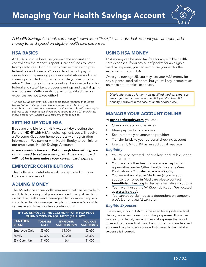

<span id="page-11-0"></span>*A Health Savings Account, commonly known as an "HSA," is an individual account you can open, add money to, and spend on eligible health care expenses.*

#### HSA BASICS

An HSA is unique because you own the account and control how the money is spent. Unused funds roll over from year to year. Contributions can be made with prefederal tax and pre-state\* tax dollars through payroll deduction or by making post-tax contributions and later claiming a tax deduction when you file your income tax return\*. The money in the account can be invested and for federal and state\* tax purposes earnings and capital gains are not taxed. Withdrawals to pay for qualified medical expenses are not taxed either!

*\*CA and NJ do not grant HSAs the same tax advantages that federal law and other states provide. The employer's contribution, your contribution, and any taxable earnings within your HSA will generally be subject to state income tax, if you are required to file a CA or NJ state income tax return. Consult your tax advisor for specifics.*

#### SETTING UP YOUR HSA

If you are eligible for an HSA Account (by electing the Panther HDHP with HSA medical option), you will receive a Welcome Kit at your home address with registration information. We partner with Health Equity to administer our employees' Health Savings Accounts.

*If you currently have an HSA through Middlebury, you do not need to set up a new plan. A new debit card will not be issued unless your current card expires.*

#### EMPLOYER CONTRIBUTIONS

The College's Contribution will be deposited into your HSA each pay period.

#### ADDING MONEY

The IRS sets the annual dollar maximum that can be made to an HSA depending on if you are enrolled in a qualified high deductible health plan. Coverage of two or more people is considered family coverage. People who are age 55 or older can make additional catch-up contributions.

| IF YOU ENROLL IN THE 2022 HDHP WITH HSA PLAN<br><b>DURING OPEN ENROLLMENT (FALL 2021)</b> |                                  |                                        |                                     |
|-------------------------------------------------------------------------------------------|----------------------------------|----------------------------------------|-------------------------------------|
| <b>PANTHER</b><br><b>PLAN</b>                                                             | <b>TOTAL IRS</b><br><b>LIMIT</b> | <b>EMPLOYER</b><br><b>CONTRIBUTION</b> | <b>YOU CAN</b><br><b>CONTRIBUTE</b> |
| Employee Only                                                                             | \$3,650                          | \$1,000                                | \$2,650                             |
| Family                                                                                    | \$7,300                          | \$2,000                                | \$5,300                             |
| 55+ Catch Up                                                                              | \$1,000                          | N/A                                    | \$1,000                             |

#### USING HSA MONEY

HSA money can be used tax-free for any eligible health care expenses. If you pay out of pocket for an eligible medical expense, you can reimburse yourself for the expense from your HSA.

Once you turn age 65, you may use your HSA money for any expense, medical or not, but you will pay income taxes on those non-medical expenses.

*Distributions made for any non-qualified medical expenses are subject to income tax and a 20% penalty. The 20% penalty is waived in the case of death or disability.*

#### MANAGE YOUR ACCOUNT ONLINE

At [my.healthequity.com](https://my.healthequity.com/Login.aspx), you can:

- Check your account balances
- Make payments to providers
- Set up monthly payments to providers
- Transfer funds to your personal checking account
- Use the HSA Tool Kit as an additional resource

#### *Eligibility*

- You must be covered under a high deductible health plan (HDHP).
- You have no other health coverage except what is permitted under Other Health Coverage (See Publication 969 located at [www.irs.gov](http://www.irs.gov)).
- You are not enrolled in Medicare (if you or your spouse is enrolled in Medicare please contact **[benefits@gmhec.org](mailto:benefits@gmhec.org)** to discuss alternative solutions)
- You haven't used the VA (See Publication 969 located at [www.irs.gov](http://www.irs.gov)).
- You cannot be claimed as a dependent on someone else's (current year's) tax return.

#### *Eligible Expenses*

The money in your HSA must be used for eligible medical, dental, vision, and prescription drug expenses. If you use money for a dental, vision or medical expense that is not covered by the medical plan, it is important you understand your medical plan deductible will still need to be met if an expense is incurred.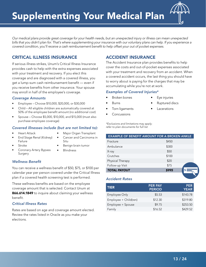

<span id="page-12-0"></span>*Our medical plans provide great coverage for your health needs, but an unexpected injury or illness can mean unexpected bills that you didn't plan for. That's where supplementing your insurance with our voluntary plans can help. If you experience a covered condition, you'll receive a cash reimbursement benefit to help offset your out of pocket expenses.*

#### CRITICAL ILLNESS INSURANCE

If serious illness strikes, Unum's Critical Illness Insurance provides cash to help with the extra expenses associated with your treatment and recovery. If you elect this coverage and are diagnosed with a covered illness, you get a lump-sum cash reimbursement benefit — even if you receive benefits from other insurance. Your spouse may enroll in half of the employee's coverage.

#### *Coverage Amounts*

- Employee Choose \$10,000, \$20,000, or \$30,000
- Child All eligible children are automatically covered at 50% of the employee benefit amount (no additional cost)
- Spouse Choose \$5,000, \$10,000, and \$15,000 (must also purchase employee coverage)

#### *Covered illnesses include (but are not limited to):*

• Heart Attack

• Stroke

- Major Organ Transplant
- End Stage Renal (Kidney) Failure
- Cancer and Carcinoma in Situ
- 
- Coronary Artery Bypass Surgery
- Benign brain tumor
- **Blindness**

#### *Wellness Benefit*

You can receive a wellness benefit of \$50, \$75, or \$100 per calendar year per person covered under the Critical Illness plan if a covered health screening test is performed.

These wellness benefits are based on the employee coverage amount that is selected. Contact Unum at 866.614.1849 to inquire about claiming your wellness benefit.

#### *Critical Illness Rates*

Rates are based on age and coverage amount elected. Review the rates listed in Oracle as you make your elections.

#### ACCIDENT INSURANCE

The Accident Insurance plan provides benefits to help cover the costs and out-of-pocket expenses associated with your treatment and recovery from an accident. When a covered accident occurs, the last thing you should have to worry about is paying for the charges that may be accumulating while you're not at work.

#### *Examples of Covered Injuries\**

- Broken bones
- Burns
- Torn ligaments
- Ruptured discs

Eye injuries

- **Lacerations**
- Concussions

*\*Exclusions and limitations may apply; refer to plan documents for full list*

| <b>EXAMPLE OF BENEFIT AMOUNT FOR A BROKEN ANKLE</b> |  |
|-----------------------------------------------------|--|
| \$450                                               |  |
| \$300                                               |  |
| \$50                                                |  |
| \$100                                               |  |
| \$20                                                |  |
| \$75                                                |  |
| \$995                                               |  |
|                                                     |  |

#### *Accident Rates*

| <b>TIER</b>           | <b>PER PAY</b><br><b>PERIOD</b> | <b>PER</b><br><b>YEAR</b> |
|-----------------------|---------------------------------|---------------------------|
| <b>Employee Only</b>  | \$5.53                          | \$143.78                  |
| Employee + Child(ren) | \$12.30                         | \$319.80                  |
| Employee + Spouse     | \$9.75                          | \$253.50                  |
| Family                | \$16.52                         | \$429.52                  |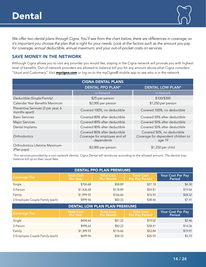<span id="page-13-0"></span>*We offer two dental plans through Cigna. You'll see from the chart below, there are differences in coverage, so it's important you choose the plan that is right for your needs. Look at the factors such as the amount you pay for coverage, annual deductible, annual maximum, and your out-of-pocket costs on services.*

#### SAVE MONEY IN THE NETWORK

Although Cigna allows you to visit any provider you would like, staying in the Cigna network will provide you with highest level of benefits. Out-of-network providers are allowed to balance bill you for any amount above what Cigna considers "Usual and Customary." Visit **[mycigna.com](http://mycigna.com)** or log on to the myCigna® mobile app to see who is in the network.

|                                                     | <b>CIGNA DENTAL PLANS</b>                                                   |                                                                            |
|-----------------------------------------------------|-----------------------------------------------------------------------------|----------------------------------------------------------------------------|
|                                                     | <b>DENTAL PPO PLAN*</b>                                                     | <b>DENTAL LOW PLAN*</b>                                                    |
|                                                     | In-Network                                                                  | In-Network                                                                 |
| Deductible (Single/Family)                          | \$25 per person                                                             | \$100/\$300                                                                |
| Calendar Year Benefits Maximum                      | \$2,000 per person                                                          | \$1,250 per person                                                         |
| Preventive Services (2 per year, 6<br>months apart) | Covered 100%, no deductible                                                 | Covered 100%, no deductible                                                |
| Basic Services                                      | Covered 80% after deductible                                                | Covered 50% after deductible                                               |
| Major Services                                      | Covered 80% after deductible                                                | Covered 50% after deductible                                               |
| Dental Implants                                     | Covered 80% after deductible                                                | Covered 50% after deductible                                               |
| Orthodontics                                        | Covered 80% after deductible<br>Coverage for employee and all<br>dependents | Covered 50%, no deductible<br>Coverage for dependent children to<br>age 19 |
| Orthodontics Lifetime Maximum<br>(Plan pays)        | \$2,000 per person                                                          | \$1,250 per child                                                          |

*\*For services provided by a non-network dentist, Cigna Dental will reimburse according to the allowed amount. The dentist may balance bill up to their usual fees.*

| <b>DENTAL PPO PLAN PREMIUMS</b> |                               |                                |                                            |                             |
|---------------------------------|-------------------------------|--------------------------------|--------------------------------------------|-----------------------------|
| <b>Coverage Tier</b>            | <b>Total Cost</b><br>Per Year | <b>Total Cost</b><br>Per Month | <b>Total Cost</b><br><b>Per Pay Period</b> | Your Cost Per Pay<br>Period |
| Single                          | \$706.68                      | \$58.89                        | \$27.18                                    | \$4.30                      |
| 2-Person                        | \$1,426.68                    | \$118.89                       | \$54.87                                    | \$19.56                     |
| Family                          | \$1,999.92                    | \$166.66                       | \$76.92                                    | \$28.52                     |
| 2 Employee Couple Family (each) | \$999.96                      | \$83.33                        | \$38.46                                    | \$7.41                      |

| <b>DENTAL LOW PLAN PLAN PREMIUMS</b> |                                 |                                       |                                     |                             |
|--------------------------------------|---------------------------------|---------------------------------------|-------------------------------------|-----------------------------|
| <b>Coverage Tier</b>                 | <b>Total Cost</b><br>l Per Year | <b>Total Cost</b><br><b>Per Month</b> | Total Cost<br><b>Per Pay Period</b> | Your Cost Per Pay<br>Period |
| Single                               | \$494.64                        | \$41.22                               | \$19.02                             | \$2.96                      |
| 2-Person                             | \$998.64                        | \$83.22                               | \$38.41                             | \$14.26                     |
| Family                               | \$1,399.92                      | \$116.66                              | \$53.84                             | \$19.91                     |
| 2 Employee Couple Family (each)      | \$699.96                        | \$58.33                               | \$26.92                             | \$5.70                      |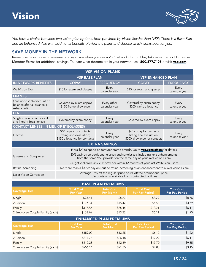

<span id="page-14-0"></span>*You have a choice between two vision plan options, both provided by Vision Service Plan (VSP). There is a Base Plan and an Enhanced Plan with additional benefits. Review the plans and choose which works best for you.* 

#### SAVE MONEY IN THE NETWORK

Remember, you'll save on eyewear and eye care when you see a VSP network doctor. Plus, take advantage of Exclusive Member Extras for additional savings. To learn what doctors are in your network, call 800.877.7195 or visit [vsp.com](http://vsp.com).

| <b>VSP VISION PLANS</b>                                                 |                                                                                                                                                       |                              |                                                                                               |                        |
|-------------------------------------------------------------------------|-------------------------------------------------------------------------------------------------------------------------------------------------------|------------------------------|-----------------------------------------------------------------------------------------------|------------------------|
| <b>VSP ENHANCED PLAN</b><br><b>VSP BASE PLAN</b>                        |                                                                                                                                                       |                              |                                                                                               |                        |
| <b>IN-NETWORK BENEFITS</b>                                              | <b>COPAY</b>                                                                                                                                          | <b>FREQUENCY</b>             | <b>COPAY</b>                                                                                  | <b>FREQUENCY</b>       |
| <b>WellVision Exam</b>                                                  | \$15 for exam and glasses                                                                                                                             | Every<br>calendar year       | \$15 for exam and glasses                                                                     | Every<br>calendar year |
| <b>FRAMES</b>                                                           |                                                                                                                                                       |                              |                                                                                               |                        |
| (Plus up to 20% discount on<br>balance after allowance is<br>exhausted) | Covered by exam copay;<br>\$150 frame allowance                                                                                                       | Every other<br>calendar year | Covered by exam copay;<br>\$200 frame allowance                                               | Every<br>calendar year |
| <b>LENSES</b>                                                           |                                                                                                                                                       |                              |                                                                                               |                        |
| Single vision, lined bifocal,<br>and lined trifocal lenses              | Covered by exam copay                                                                                                                                 | Every<br>calendar year       | Covered by exam copay                                                                         | Every<br>calendar year |
| <b>CONTACT LENSES (IN LIEU OF EYEGLASSES)</b>                           |                                                                                                                                                       |                              |                                                                                               |                        |
| Elective                                                                | \$60 copay for contacts<br>fitting and evaluation;<br>\$150 allowance for contacts                                                                    | Every<br>calendar year       | \$60 copay for contacts<br>fitting and evaluation;<br>\$200 allowance for contacts            | Every<br>calendar year |
|                                                                         |                                                                                                                                                       | <b>EXTRA SAVINGS</b>         |                                                                                               |                        |
|                                                                         |                                                                                                                                                       |                              | Extra \$20 to spend on featured frame brands. Go to vsp.com/offers for details.               |                        |
| Glasses and Sunglasses                                                  | 30% savings on additional glasses and sunglasses, including lens enhancements,<br>from the same VSP provider on the same day as your WellVision Exam. |                              |                                                                                               |                        |
|                                                                         | Or, get 20% from any VSP provider within 12 months of your last WellVision Exam.                                                                      |                              |                                                                                               |                        |
| Retinal Screening                                                       |                                                                                                                                                       |                              | No more than a \$39 copay on routine retinal screening as an enhancement to a WellVision Exam |                        |
| Laser Vision Correction                                                 | Average 15% off the regular price or 5% off the promotional price;<br>discounts only available from contracted facilities                             |                              |                                                                                               |                        |

| <b>BASE PLAN PREMIUMS</b>       |                               |                                       |                                            |                                    |
|---------------------------------|-------------------------------|---------------------------------------|--------------------------------------------|------------------------------------|
| <b>Coverage Tier</b>            | <b>Total Cost</b><br>Per Year | <b>Total Cost</b><br><b>Per Month</b> | <b>Total Cost</b><br><b>Per Pay Period</b> | <b>Your Cost</b><br>Per Pay Period |
| Single                          | \$98.64                       | \$8.22                                | \$3.79                                     | \$0.76                             |
| 2-Person                        | \$197.04                      | \$16.42                               | \$7.58                                     | \$3.79                             |
| Family                          | \$317.52                      | \$26.46                               | \$12.21                                    | \$6.11                             |
| 2 Employee Couple Family (each) | \$158.76                      | \$13.23                               | \$6.11                                     | \$1.95                             |

| <b>ENHANCED PLAN PREMIUMS</b>   |                               |                                       |                                            |                                    |
|---------------------------------|-------------------------------|---------------------------------------|--------------------------------------------|------------------------------------|
| <b>Coverage Tier</b>            | <b>Total Cost</b><br>Per Year | <b>Total Cost</b><br><b>Per Month</b> | <b>Total Cost</b><br><b>Per Pay Period</b> | <b>Your Cost</b><br>Per Pay Period |
| Single                          | \$159.00                      | \$13.25                               | \$6.12                                     | \$1.22                             |
| 2-Person                        | \$317.76                      | \$26.48                               | \$12.22                                    | \$6.11                             |
| Family                          | \$512.28                      | \$42.69                               | \$19.70                                    | \$9.85                             |
| 2 Employee Couple Family (each) | \$256.14                      | \$21.35                               | \$9.85                                     | \$3.15                             |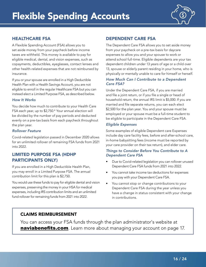

#### <span id="page-15-0"></span>HEALTHCARE FSA

A Flexible Spending Account (FSA) allows you to set aside money from your paycheck before income taxes are withheld. This money is available to pay for eligible medical, dental, and vision expenses, such as copayments, deductibles, eyeglasses, contact lenses and other health-related expenses that are not reimbursed by insurance.

If you or your spouse are enrolled in a High Deductible Health Plan with a Health Savings Account, you are not eligible to enroll in the regular Healthcare FSA but you can instead elect a Limited Purpose FSA, as described below.

#### *How It Works*

You decide how much to contribute to your Health Care FSA each year, up to \$2,750.\* Your annual election will be divided by the number of pay periods and deducted evenly on a pre-tax basis from each paycheck throughout the plan year.

#### *Rollover Feature*

Covid-related legislation passed in December 2020 allows for an unlimited rollover of remaining FSA funds from 2021 into 2022.

#### LIMITED PURPOSE FSA (HDHP PARTICIPANTS ONLY)

If you are enrolled in a High Deductible Health Plan, you may enroll in a Limited Purpose FSA. The annual contribution limit for this plan is \$2,750.

You would use these funds to pay for eligible dental and vision expenses, preserving the money in your HSA for medical expenses, including IRS contribution limits and an unlimited fund rollover for remaining funds from 2021 into 2022.

#### DEPENDENT CARE FSA

The Dependent Care FSA allows you to set aside money from your paycheck on a pre-tax basis for daycare expenses to allow you and your spouse to work or attend school full-time. Eligible dependents are your tax dependent children under 13 years of age or a child over 13, spouse or elderly parent residing in your home, who is physically or mentally unable to care for himself or herself.

#### *How Much Can I Contribute to a Dependent Care FSA?*

Under the Dependent Care FSA, if you are married and file a joint return, or if you file a single or head of household return, the annual IRS limit is \$5,000. If you are married and file separate returns, you can each elect \$2,500 for the plan year. You and your spouse must be employed or your spouse must be a full-time student to be eligible to participate in the Dependent Care FSA.

#### *Eligible Expenses*

Some examples of eligible Dependent care Expenses include day care facility fees, before and after-school care, in-home babysitting fees (income must be reported by your care provider on their tax return), and elder care.

#### *Things to Consider Before You Contribute to A Dependent Care FSA*

- Due to Covid-related legislation you can rollover unused Dependent Care FSA funds from 2021 into 2022.
- You cannot take income tax deductions for expenses you pay with your Dependent Care FSA.
- You cannot stop or change contributions to your Dependent Care FSA during the year unless you have a change in status consistent with your change in contributions.

#### CLAIMS REIMBURSEMENT

You can access your FSA funds through the plan administrator's website at **[naviabenefits.com](http://mycafeteriaplan.com)**. Learn more about managing your account [on page 17.](#page-16-1)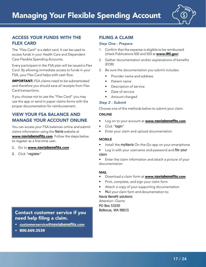

#### <span id="page-16-1"></span><span id="page-16-0"></span>ACCESS YOUR FUNDS WITH THE FLEX CARD

The "Flex Card" is a debit card. It can be used to access funds in your Health Care and Dependent Care Flexible Spending Accounts.

Every participant in the FSA plan will be issued a Flex Card. By allowing immediate access to funds in your FSA, your Flex Card helps with cash flow.

**IMPORTANT:** FSA claims need to be substantiated and therefore you should save all receipts from Flex Card transactions.

If you choose not to use the "Flex Card" you may use the app or send in paper claims forms with the proper documentation for reimbursement.

#### VIEW YOUR FSA BALANCE AND MANAGE YOUR ACCOUNT ONLINE

You can access your FSA balances online and submit claims information using the Navia website at www.**[naviabenefits](http://www.mycafeteriaplan.com)**.com. Follow the steps below to register as a first-time user.

- 1. Go to www.**[naviabenefits](http://www.mycafeteriaplan.com)**.com
- 2. Click "register"

## Contact customer service if you

need help filing a claim.

- [customerservice@](mailto:customer_service%40mycafeteriaplan.com?subject=)**naviabenefits**.com
- **800.669.3539**

#### FILING A CLAIM

#### *Step One - Prepare*

- 1. Confirm that the expense is eligible to be reimbursed (check Publications 502 and 503 at [www.IRS.gov](http://www.IRS.gov))
- 2. Gather documentation and/or explanations of benefits (EOB)
- 3. Be sure the documentation you submit includes:
	- Provider name and address
	- Patient name
	- Description of service
	- Date of service
	- Amount charged

#### *Step 2 - Submit*

Choose one of the methods below to submit your claim.

#### ONLINE

- Log on to your account at www.**[naviabenefits](http://www.mycafeteriaplan.com)**.com
- Click "login"
- Enter your claim and upload documentation

#### MOBILE

- Install the myNavia On-the-Go app on your smartphone
- Log in with your username and password and file your claim

• Enter the claim information and attach a picture of your documentation

#### MAIL

- Download a claim form at www.**[naviabenefits](http://www.mycafeteriaplan.com)**.com
- Print, complete, and sign your claim form
- Attach a copy of your supporting documentation
- Mail your claim form and documentation to:

#### Navia Benefit solutions

Attention: Claims PO Box 53250 Bellevue, WA 98015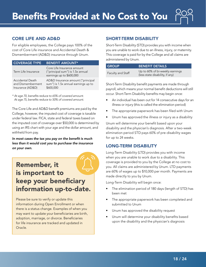#### <span id="page-17-0"></span>CORE LIFE AND AD&D

For eligible employees, the College pays 100% of the cost of Core Life insurance and Accidental Death & Dismemberment (AD&D) insurance through Unum.

| <b>COVERAGE TYPE</b>                                      | <b>BENEFIT AMOUNT*</b>                                                                     |
|-----------------------------------------------------------|--------------------------------------------------------------------------------------------|
| Term Life Insurance                                       | Core Life Insurance amount<br>("principal sum") is 1.5x annual<br>earnings up to \$600,000 |
| Accidental Death<br>and Dismemberment<br>Insurance (AD&D) | AD&D Insurance amount ("principal<br>sum") is 1.5x annual earnings up to<br>\$600,000      |

*\* At age 70, benefits reduce to 65% of covered amount. At age 75, benefits reduce to 50% of covered amount.*

The Core Life and AD&D benefit premiums are paid by the College, however, the imputed cost of coverage is taxable under federal law. FICA, state and federal taxes based on the imputed cost of coverage over \$50,000 is determined by using an IRS chart with your age and the dollar amount, and withheld from pay.

*In most cases the tax you pay on the benefit is much less than it would cost you to purchase the insurance on your own.* 

## Remember, it is important to keep your beneficiary information up-to-date.

Please be sure to verify or update this information during Open Enrollment or when there is a status change. Examples of when you may want to update your beneficiaries are birth, adoption, marriage, or divorce. Beneficiaries for life insurance are tracked and updated in Oracle.

#### SHORT-TERM DISABILITY

Short-Term Disability (STD) provides you with income when you are unable to work due to an illness, injury, or maternity. This coverage is paid for by the College and all claims are administered by Unum.

| <b>GROUP</b>      | <b>BENEFIT DETAILS</b>                                             |
|-------------------|--------------------------------------------------------------------|
| Faculty and Staff | Up to 60% of bi-weekly earnings<br>(less state disability, if any) |

Short-Term Disability benefit payments are made through payroll, which means your normal benefit deductions will still occur. Short-Term Disability benefits may begin once:

- An individual has been out for 14 consecutive days for an illness or injury (this is called the elimination period)
- The appropriate paperwork has been filed with Unum
- Unum has approved the illness or injury as a disability

Unum will determine your benefit based upon your disability and the physician's diagnosis. After a two-week elimination period STD pays 60% of pre-disability wages for up to 24 weeks.

#### LONG-TERM DISABILITY

Long-Term Disability (LTD) provides you with income when you are unable to work due to a disability. This coverage is provided to you by the College at no cost to you. All claims are administered by Unum. LTD payments are 60% of wages up to \$10,000 per month. Payments are made directly to you by Unum.

Long-Term Disability will begin once:

- The elimination period of 180 days (length of STD) has been met
- The appropriate paperwork has been completed and submitted to Unum
- Unum has approved the disability request
- Unum will determine your disability benefits based upon the disability and the physician's diagnosis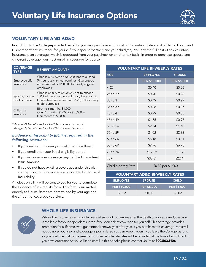

#### <span id="page-18-0"></span>VOLUNTARY LIFE AND AD&D

In addition to the College-provided benefits, you may purchase additional or "Voluntary" Life and Accidental Death and Dismemberment insurance for yourself, your spouse/partner, and your child(ren). You pay the full cost of any voluntary insurance plan coverage, which is deducted from your paycheck on an after-tax basis. In order to purchase spouse and child(ren) coverage, you must enroll in coverage for yourself.

| <b>COVERAGE</b><br><b>TYPE</b>   | <b>BENEFIT AMOUNT*</b>                                                                                                                                          |
|----------------------------------|-----------------------------------------------------------------------------------------------------------------------------------------------------------------|
| Employee Life<br>Insurance       | Choose \$10,000 to \$500,000, not to exceed<br>5x your basic annual earnings. Guaranteed<br>issue amount is \$200,000 for newly eligible<br>employees.          |
| Spouse/Partner<br>Life Insurance | Choose \$5,000 to \$500,000, not to exceed<br>100% of the employee voluntary life amount.<br>Guaranteed issue amount is \$25,000 for newly<br>eligible spouses. |
| Child Life<br>Insurance          | Birth to 6 months: \$1,000;<br>Over 6 months: \$1,000 to \$10,000 in<br>Increments of \$1,000.                                                                  |

*\* At age 70, benefits reduce to 65% of covered amount. At age 75, benefits reduce to 50% of covered amount.*

#### *Evidence of Insurability (EOI) is required in the following situations:*

- If you newly enroll during annual Open Enrollment
- If you enroll after your initial eligibility period
- If you increase your coverage beyond the Guaranteed Issue Amount
- If you do not have existing coverages under this plan, your application for coverage is subject to Evidence of Insurability.

An electronic link will be sent to you for you to complete the Evidence of Insurability form. This form is submitted directly to Unum. Rates are determined by your age and the amount of coverage you elect.

| <b>VOLUNTARY LIFE BI-WEEKLY RATES</b> |                    |                    |  |  |  |
|---------------------------------------|--------------------|--------------------|--|--|--|
| <b>AGE</b>                            | <b>EMPLOYEE</b>    | <b>SPOUSE</b>      |  |  |  |
|                                       | PER \$10,000       | <b>PER \$5,000</b> |  |  |  |
| < 25                                  | \$0.40             | \$0.26             |  |  |  |
| 25 to 29                              | \$0.40             | \$0.26             |  |  |  |
| 30 to 34                              | \$0.49             | \$0.29             |  |  |  |
| 35 to 39                              | \$0.68             | \$0.37             |  |  |  |
| 40 to 44                              | \$0.99             | \$0.55             |  |  |  |
| 45 to 49                              | \$1.65             | \$0.97             |  |  |  |
| 50 to 54                              | \$2.74             | \$1.60             |  |  |  |
| 55 to 59                              | \$4.02<br>\$2.32   |                    |  |  |  |
| 60 to 64                              | \$5.18             | \$3.61             |  |  |  |
| 65 to 69                              | \$9.76             | \$6.75             |  |  |  |
| 70 to 74                              | \$17.29            | \$11.91            |  |  |  |
| $75+$                                 | \$32.31            | \$22.41            |  |  |  |
| Child Monthly Rate                    | \$0.32 per \$1,000 |                    |  |  |  |

| <b>VOLUNTARY AD&amp;D BI-WEEKLY RATES</b> |                    |                    |  |  |  |
|-------------------------------------------|--------------------|--------------------|--|--|--|
| <b>EMPLOYEE</b>                           | <b>SPOUSE</b>      | <b>CHILD</b>       |  |  |  |
| PER \$10,000                              | <b>PER \$5,000</b> | <b>PER \$1,000</b> |  |  |  |
| \$0.12                                    | \$0.06             | \$0.02             |  |  |  |

#### WHOLE LIFE INSURANCE

Whole Life insurance can provide financial support for families after the death of a loved one. Coverage is available for your dependents, even if you don't elect coverage for yourself. This coverage provides protection for a lifetime, with guaranteed renewal year after year. If you purchase this coverage, rates will not go up as you age, and coverage is portable, so you can keep it even if you leave the College, as long as you continue making payments to Unum. Whole Life rates will be provided at the time of enrollment. If you have questions or would like to enroll in this benefit, please contact Unum at 800.503.1106.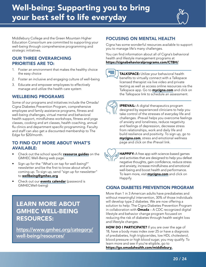## <span id="page-19-0"></span>Well-being: Supporting you to bring your best self to life everyday



Middlebury College and the Green Mountain Higher Education Consortium are committed to supporting your well-being through comprehensive programming and strategic initiatives.

#### OUR THREE OVERARCHING PRIORITIES ARE TO:

- 1. Foster an environment that makes the healthy choice the easy choice
- 2. Foster an inclusive and engaging culture of well-being
- 3. Educate and empower employees to effectively manage and utilize the health care system

#### WELLBEING PROGRAMS

Some of our programs and initiatives include the Omada/ Cigna Diabetes Prevention Program, comprehensive employee and family assistance programs, fitness and well-being challenges, virtual mental and behavioral health support, mindfulness workshops, fitness and yoga classes, cooking and art classes, health coaching, annual flu clinics and department specific programming. Faculty and staff can also get a discounted membership to The Edge for \$20/month.

#### TO FIND OUT MORE ABOUT WHAT'S AVAILABLE:

- Check out the school specific [resource guides](https://gmhec.org/well-being-resource-guides/) on the GMHEC Well-Being web page.
- Sign up for the "What's on tap for well-being?" newsletter and be the first to know about what's coming up. To sign up, send "sign up for newsletter" to [wellbeing@gmhec.org](mailto:wellbeing%40gmhec.org?subject=Sign%20Up%20For%20Newsletter)
- Check out our **[events calendar](https://gmhec.org/gmhec-well-being-calendar/)** (password is GMHECWell-being)

### LEARN MORE ABOUT GMHEC WELL-BEING RESOURCES:

[https://www.gmhec.org/category/](https://www.gmhec.org/category/well-being/resources/) [well-being/resources/](https://www.gmhec.org/category/well-being/resources/)

#### FOCUSING ON MENTAL HEALTH

Cigna has some wonderful resources available to support you to manage life's many challenges.

You can find information about all of Cigna's behavioral health and lifestyle management programs at <https://cignabehavioralprograms.com/CTBH/>.



TALKSPACE: Utilize your behavioral health benefits to virtually connect with a Talkspace licensed therapist via live video and private texting as well as access online resources via the Talkspace app. Go to **[mycigna.com](http://mycigna.com)** and click on the [Talkspace link](http://www.talkspace.com/cigna) to schedule an assessment.



IPREVAIL: A digital therapeutics program designed by experienced clinicians to help you take control of the stresses of everyday life and challenges. iPrevail helps you overcome feelings of anxiety and loneliness, reduce negativity and feelings of depression, decrease stress from relationships, work and daily life and build resilience and positivity. To sign up, go to [mycigna.com](http://mycigna.com), stress and emotional wellness page and click on the iPrevail link.

HAPPIFY: A free app with science-based games and activities that are designed to help you defeat negative thoughts, gain confidence, reduce stress and anxiety, increase mindfulness and emotional well-being and boost health and performance. To learn more, visit **[mycigna.com](http://mycigna.com)** and click on Happify.

#### CIGNA DIABETES PREVENTION PROGRAM

More than 1 in 3 American adults have prediabetes and without meaningful intervention, 30% of those individuals will develop type 2 diabetes. We are now offering a solution to help: The Cigna Diabetes Prevention Program in collaboration with **Omada** - A CDC recognized digital lifestyle and behavior change program focused on reducing the risk of diabetes through health weight loss and lifestyle changes.

HOW DO I PARTICIPATE? If you are over the age of 18, have a body mass index over 25 or have a diagnosis of prediabetes, high triglycerides, low HDL cholesterol, blood pressure or high blood sugar, you may qualify. To learn more and see if you're eligible, go to [https://go.omadahealth.com/middlebury.](https://go.omadahealth.com/middlebury)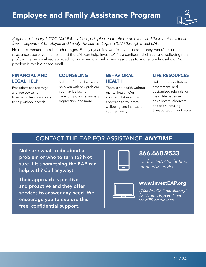

<span id="page-20-0"></span>*Beginning January 1, 2022, Middlebury College is pleased to offer employees and their families a local, free, independent Employee and Family Assistance Program (EAP) through Invest EAP.*

No one is immune from life's challenges. Family dynamics, worries over illness, money, work/life balance, substance abuse: you name it, and the EAP can help. Invest EAP is a confidential clinical and wellbeing nonprofit with a personalized approach to providing counseling and resources to your entire household. No problem is too big or too small.

#### FINANCIAL AND LEGAL HELP

Free referrals to attorneys and free advice from financial professionals ready to help with your needs.

#### COUNSELING

Solution-focused sessions help you with any problem you may be facing: parenting, divorce, anxiety, depression, and more.

#### BEHAVIORAL HEALTH

There is no health without mental health. Our approach takes a holistic approach to your total wellbeing and increases your resiliency.

#### LIFE RESOURCES

Unlimited consultation, assessment, and customized referrals for major life issues such as childcare, eldercare, adoption, housing, transportation, and more.

### CONTACT THE EAP FOR ASSISTANCE *ANYTIME*

Not sure what to do about a problem or who to turn to? Not sure if it's something the EAP can help with? Call anyway!

Their approach is positive and proactive and they offer services to answer any need. We encourage you to explore this free, confidential support.



### 866.660.9533

*toll-free 24/7/365 hotline for all EAP services*



#### [www.investEAP.org](http://www.investEAP.org)

*PASSWORD: "middlebury" for VT employees, "miis" for MIIS employees*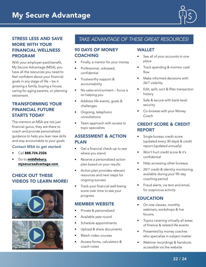

#### <span id="page-21-0"></span>STRESS LESS AND SAVE MORE WITH YOUR FINANCIAL WELLNESS PROGRAM

With your employer-paid benefit, My Secure Advantage (MSA), you have all the resources you need to feel confident about your financial goals in any stage of life – be it growing a family, buying a house, caring for aging parents, or planning retirement.

#### TRANSFORMING YOUR FINANCIAL FUTURE STARTS TODAY

The mentors at MSA are not just financial gurus, they are there to coach and provide personalized guidance to help you lean new skills and stay accountable to your goals.

#### *Contact MSA to get started:*

- Call 888.724.2326
- Go to [middlebury.](http://middlebury.mysecureadvantage.com) [mysecureadvantage.com](http://middlebury.mysecureadvantage.com)

#### CHECK OUT THESE VIDEOS TO LEARN MORE!





#### *TAKE ADVANTAGE OF THESE GREAT RESOURCES!*

#### 90 DAYS OF MONEY **COACHING**

- Finally, a mentor for your money
- Professional, unbiased, confidential
- Trustworthy support & accountability
- No sales environment focus is on helping you
- Address life events, goals & challenges
- Ongoing, telephonic consultations
- Team approach with access to topic specialists

#### ASSESSMENT & ACTION **PLAN**

- Get a financial check-up to see where you stand
- Receive a personalized action plan based on your results
- Action plan provides relevant resources and next steps for ongoing success
- Track your financial well-being score over time to see your progress

#### MEMBER WEBSITE

- Private & personalized
- Available year-round
- Schedule appointments
- Upload & share documents
- Watch video courses
- Access forms, calculators & coach notes

#### WALLET

- See all of your accounts in one place
- Track spending & monitor cash flow
- Make informed decisions with 24/7 visibility
- Edit, split, sort & filter transaction history
- Safe & secure with bank-level security
- Co-browse with your Money Coach

#### CREDIT SCORE & CREDIT REPORT

- Single bureau credit score (updated every 30 days) & credit report (updated annually)
- Won't hurt credit score & it's confidential
- Help accessing other bureaus
- 24/7 credit & identity monitoring, available during your 90-day coaching period
- Fraud alerts, via text and email, for suspicious activity

#### EDUCATION

- On-site classes, monthly webinars, workshops & live forums
- Topics covering virtually all areas of finance & related life events
- Presented by money coaches who specialize in subject matter
- Webinar recordings & handouts accessible via the website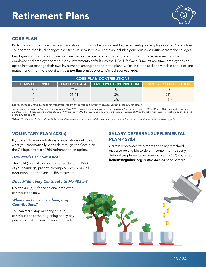

#### <span id="page-22-0"></span>CORE PLAN

Participation in the Core Plan is a mandatory condition of employment for benefits-eligible employees age 21 and older. Your contribution level changes over time, as shown below. The plan includes generous contributions from the college!

Employee contributions in Core plan are made on a tax-deferred basis. There is full and immediate vesting of all employee and employer contributions. Investments default into the TIAA Life Cycle Fund. At any time, employees can opt to instead manage their own investments among options in the plans, which include fixed and variable annuities and mutual funds. For more details, visit [www.tiaa.org/public/tcm/middleburycollege](http://www.tiaa.org/public/tcm/middleburycollege).

| <b>CORE PLAN CONTRIBUTIONS</b> |                     |                              |                              |  |  |  |
|--------------------------------|---------------------|------------------------------|------------------------------|--|--|--|
| <b>YEARS OF SERVICE</b>        | <b>EMPLOYEE AGE</b> | <b>EMPLOYEE CONTRIBUTION</b> | <b>EMPLOYER CONTRIBUTION</b> |  |  |  |
| 0-2                            | $21+$               | 3%                           | 3%                           |  |  |  |
|                                | $21 - 44$           | 3%                           | 9%                           |  |  |  |
|                                |                     | 6%                           | $11\%*$                      |  |  |  |

*Special rules apply for rehires and for employees who otherwise incurred a break-in-service. See HR or the SPD for details.*

*A new employee may qualify to go directly to the 9% or 11% employer contribution level if the employee had participated in a 401a, 401k, or 403b plan with a previous employer within 6 months of the date of hire with Middlebury AND that previous employer contributed in excess of 3% to the retirement plan. Restrictions apply: See HR or the SPD for details.*

*\*NOTE: Middlebury Undergraduate College employees hired prior to July 3, 2017 may be eligible for a 15% employer contribution upon reaching age 45.*

#### VOLUNTARY PLAN 403(b)

If you want to make additional contributions outside of what you automatically set aside through the Core plan, the College offers a 403(b) retirement plan option.

#### *How Much Can I Set Aside?*

The 403(b) plan allows you to put aside up to 100% of your earnings, pre-tax, through bi-weekly payroll deduction up to the annual IRS maximum.

#### *Does Middlebury Contribute to My 403(b)?*

No, the 403(b) is for additional employee contributions only.

#### *When Can I Enroll or Change my Contributions?*

You can start, stop or change 403(b) contributions at the beginning of any pay period by making your change in Oracle.

#### SALARY DEFERRAL SUPPLEMENTAL PLAN 457(b)

Certain employees who meet the salary threshold may also be eligible to defer income into the salary deferral supplemental retirement plan, a 457(b). Contact [benefits@gmhec.org](mailto:benefits@gmhec.org) or 802.443.5485 for details.